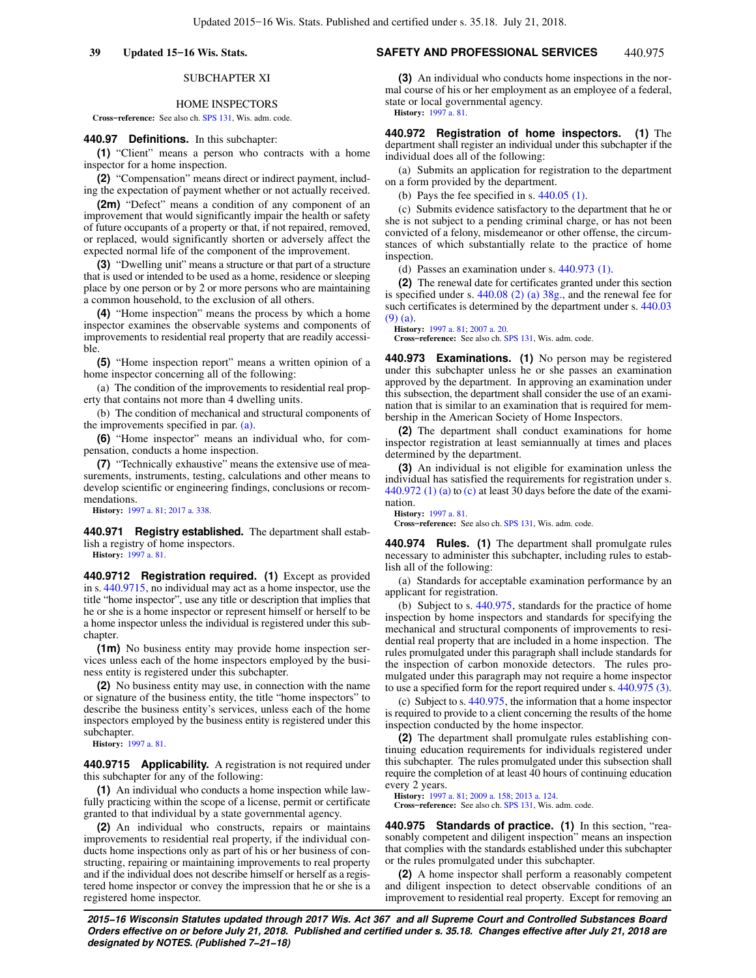## SUBCHAPTER XI

# HOME INSPECTORS

**Cross−reference:** See also ch. SPS 131, Wis. adm. code.

#### **440.97 Definitions.** In this subchapter:

**(1)** "Client" means a person who contracts with a home inspector for a home inspection.

**(2)** "Compensation" means direct or indirect payment, including the expectation of payment whether or not actually received.

**(2m)** "Defect" means a condition of any component of an improvement that would significantly impair the health or safety of future occupants of a property or that, if not repaired, removed, or replaced, would significantly shorten or adversely affect the expected normal life of the component of the improvement.

**(3)** "Dwelling unit" means a structure or that part of a structure that is used or intended to be used as a home, residence or sleeping place by one person or by 2 or more persons who are maintaining a common household, to the exclusion of all others.

**(4)** "Home inspection" means the process by which a home inspector examines the observable systems and components of improvements to residential real property that are readily accessible.

**(5)** "Home inspection report" means a written opinion of a home inspector concerning all of the following:

(a) The condition of the improvements to residential real property that contains not more than 4 dwelling units.

(b) The condition of mechanical and structural components of the improvements specified in par. (a).

**(6)** "Home inspector" means an individual who, for compensation, conducts a home inspection.

**(7)** "Technically exhaustive" means the extensive use of measurements, instruments, testing, calculations and other means to develop scientific or engineering findings, conclusions or recommendations.

**History:** 1997 a. 81; 2017 a. 338.

**440.971 Registry established.** The department shall establish a registry of home inspectors.

**History:** 1997 a. 81.

**440.9712 Registration required. (1)** Except as provided in s. 440.9715, no individual may act as a home inspector, use the title "home inspector", use any title or description that implies that he or she is a home inspector or represent himself or herself to be a home inspector unless the individual is registered under this subchapter.

**(1m)** No business entity may provide home inspection services unless each of the home inspectors employed by the business entity is registered under this subchapter.

**(2)** No business entity may use, in connection with the name or signature of the business entity, the title "home inspectors" to describe the business entity's services, unless each of the home inspectors employed by the business entity is registered under this subchapter.

**History:** 1997 a. 81.

**440.9715 Applicability.** A registration is not required under this subchapter for any of the following:

**(1)** An individual who conducts a home inspection while lawfully practicing within the scope of a license, permit or certificate granted to that individual by a state governmental agency.

**(2)** An individual who constructs, repairs or maintains improvements to residential real property, if the individual conducts home inspections only as part of his or her business of constructing, repairing or maintaining improvements to real property and if the individual does not describe himself or herself as a registered home inspector or convey the impression that he or she is a registered home inspector.

### **39 Updated 15−16 Wis. Stats. SAFETY AND PROFESSIONAL SERVICES** 440.975

**(3)** An individual who conducts home inspections in the normal course of his or her employment as an employee of a federal, state or local governmental agency. **History:** 1997 a. 81.

**440.972 Registration of home inspectors. (1)** The department shall register an individual under this subchapter if the individual does all of the following:

(a) Submits an application for registration to the department on a form provided by the department.

(b) Pays the fee specified in s.  $440.05$  (1).

(c) Submits evidence satisfactory to the department that he or she is not subject to a pending criminal charge, or has not been convicted of a felony, misdemeanor or other offense, the circumstances of which substantially relate to the practice of home inspection.

(d) Passes an examination under s. 440.973 (1).

**(2)** The renewal date for certificates granted under this section is specified under s. 440.08 (2) (a) 38g., and the renewal fee for such certificates is determined by the department under s. 440.03 (9) (a).

**History:** 1997 a. 81; 2007 a. 20.

**Cross−reference:** See also ch. SPS 131, Wis. adm. code.

**440.973 Examinations. (1)** No person may be registered under this subchapter unless he or she passes an examination approved by the department. In approving an examination under this subsection, the department shall consider the use of an examination that is similar to an examination that is required for membership in the American Society of Home Inspectors.

**(2)** The department shall conduct examinations for home inspector registration at least semiannually at times and places determined by the department.

**(3)** An individual is not eligible for examination unless the individual has satisfied the requirements for registration under s.  $440.972$  (1) (a) to (c) at least 30 days before the date of the examination.

**History:** 1997 a. 81.

**Cross−reference:** See also ch. SPS 131, Wis. adm. code.

**440.974 Rules. (1)** The department shall promulgate rules necessary to administer this subchapter, including rules to establish all of the following:

(a) Standards for acceptable examination performance by an applicant for registration.

(b) Subject to s. 440.975, standards for the practice of home inspection by home inspectors and standards for specifying the mechanical and structural components of improvements to residential real property that are included in a home inspection. The rules promulgated under this paragraph shall include standards for the inspection of carbon monoxide detectors. The rules promulgated under this paragraph may not require a home inspector to use a specified form for the report required under s. 440.975 (3).

(c) Subject to s. 440.975, the information that a home inspector is required to provide to a client concerning the results of the home inspection conducted by the home inspector.

**(2)** The department shall promulgate rules establishing continuing education requirements for individuals registered under this subchapter. The rules promulgated under this subsection shall require the completion of at least 40 hours of continuing education every 2 years.

**History:** 1997 a. 81; 2009 a. 158; 2013 a. 124.

**Cross−reference:** See also ch. SPS 131, Wis. adm. code.

**440.975 Standards of practice. (1)** In this section, "reasonably competent and diligent inspection" means an inspection that complies with the standards established under this subchapter or the rules promulgated under this subchapter.

**(2)** A home inspector shall perform a reasonably competent and diligent inspection to detect observable conditions of an improvement to residential real property. Except for removing an

**2015−16 Wisconsin Statutes updated through 2017 Wis. Act 367 and all Supreme Court and Controlled Substances Board Orders effective on or before July 21, 2018. Published and certified under s. 35.18. Changes effective after July 21, 2018 are designated by NOTES. (Published 7−21−18)**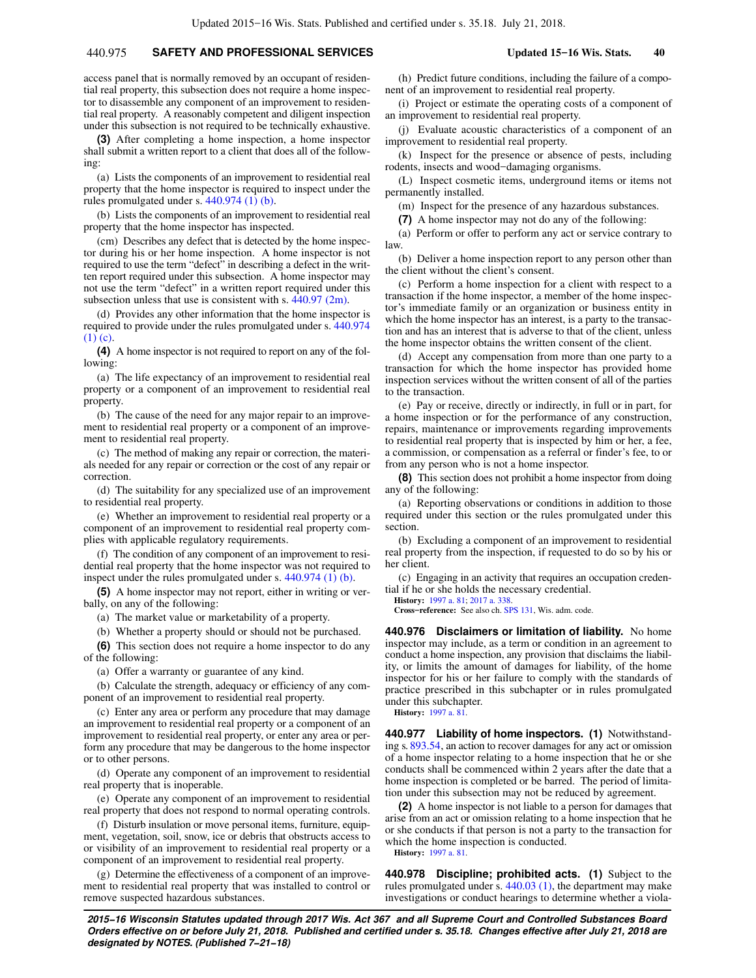# 440.975 **SAFETY AND PROFESSIONAL SERVICES Updated 15−16 Wis. Stats. 40**

access panel that is normally removed by an occupant of residential real property, this subsection does not require a home inspector to disassemble any component of an improvement to residential real property. A reasonably competent and diligent inspection under this subsection is not required to be technically exhaustive.

**(3)** After completing a home inspection, a home inspector shall submit a written report to a client that does all of the following:

(a) Lists the components of an improvement to residential real property that the home inspector is required to inspect under the rules promulgated under s. 440.974 (1) (b).

(b) Lists the components of an improvement to residential real property that the home inspector has inspected.

(cm) Describes any defect that is detected by the home inspector during his or her home inspection. A home inspector is not required to use the term "defect" in describing a defect in the written report required under this subsection. A home inspector may not use the term "defect" in a written report required under this subsection unless that use is consistent with s. 440.97 (2m).

(d) Provides any other information that the home inspector is required to provide under the rules promulgated under s. 440.974 (1) (c).

**(4)** A home inspector is not required to report on any of the following:

(a) The life expectancy of an improvement to residential real property or a component of an improvement to residential real property.

(b) The cause of the need for any major repair to an improvement to residential real property or a component of an improvement to residential real property.

(c) The method of making any repair or correction, the materials needed for any repair or correction or the cost of any repair or correction.

(d) The suitability for any specialized use of an improvement to residential real property.

(e) Whether an improvement to residential real property or a component of an improvement to residential real property complies with applicable regulatory requirements.

(f) The condition of any component of an improvement to residential real property that the home inspector was not required to inspect under the rules promulgated under s. 440.974 (1) (b).

**(5)** A home inspector may not report, either in writing or verbally, on any of the following:

(a) The market value or marketability of a property.

(b) Whether a property should or should not be purchased.

**(6)** This section does not require a home inspector to do any of the following:

(a) Offer a warranty or guarantee of any kind.

(b) Calculate the strength, adequacy or efficiency of any component of an improvement to residential real property.

(c) Enter any area or perform any procedure that may damage an improvement to residential real property or a component of an improvement to residential real property, or enter any area or perform any procedure that may be dangerous to the home inspector or to other persons.

(d) Operate any component of an improvement to residential real property that is inoperable.

(e) Operate any component of an improvement to residential real property that does not respond to normal operating controls.

(f) Disturb insulation or move personal items, furniture, equipment, vegetation, soil, snow, ice or debris that obstructs access to or visibility of an improvement to residential real property or a component of an improvement to residential real property.

(g) Determine the effectiveness of a component of an improvement to residential real property that was installed to control or remove suspected hazardous substances.

(h) Predict future conditions, including the failure of a component of an improvement to residential real property.

(i) Project or estimate the operating costs of a component of an improvement to residential real property.

(j) Evaluate acoustic characteristics of a component of an improvement to residential real property.

(k) Inspect for the presence or absence of pests, including rodents, insects and wood−damaging organisms.

(L) Inspect cosmetic items, underground items or items not permanently installed.

(m) Inspect for the presence of any hazardous substances.

**(7)** A home inspector may not do any of the following:

(a) Perform or offer to perform any act or service contrary to law.

(b) Deliver a home inspection report to any person other than the client without the client's consent.

(c) Perform a home inspection for a client with respect to a transaction if the home inspector, a member of the home inspector's immediate family or an organization or business entity in which the home inspector has an interest, is a party to the transaction and has an interest that is adverse to that of the client, unless the home inspector obtains the written consent of the client.

(d) Accept any compensation from more than one party to a transaction for which the home inspector has provided home inspection services without the written consent of all of the parties to the transaction.

(e) Pay or receive, directly or indirectly, in full or in part, for a home inspection or for the performance of any construction, repairs, maintenance or improvements regarding improvements to residential real property that is inspected by him or her, a fee, a commission, or compensation as a referral or finder's fee, to or from any person who is not a home inspector.

**(8)** This section does not prohibit a home inspector from doing any of the following:

(a) Reporting observations or conditions in addition to those required under this section or the rules promulgated under this section.

(b) Excluding a component of an improvement to residential real property from the inspection, if requested to do so by his or her client.

(c) Engaging in an activity that requires an occupation credential if he or she holds the necessary credential.

**History:** 1997 a. 81; 2017 a. 338.

**Cross−reference:** See also ch. SPS 131, Wis. adm. code.

**440.976 Disclaimers or limitation of liability.** No home inspector may include, as a term or condition in an agreement to conduct a home inspection, any provision that disclaims the liability, or limits the amount of damages for liability, of the home inspector for his or her failure to comply with the standards of practice prescribed in this subchapter or in rules promulgated under this subchapter.

**History:** 1997 a. 81.

**440.977 Liability of home inspectors. (1)** Notwithstanding s. 893.54, an action to recover damages for any act or omission of a home inspector relating to a home inspection that he or she conducts shall be commenced within 2 years after the date that a home inspection is completed or be barred. The period of limitation under this subsection may not be reduced by agreement.

**(2)** A home inspector is not liable to a person for damages that arise from an act or omission relating to a home inspection that he or she conducts if that person is not a party to the transaction for which the home inspection is conducted. **History:** 1997 a. 81.

**440.978 Discipline; prohibited acts. (1)** Subject to the rules promulgated under s. 440.03 (1), the department may make investigations or conduct hearings to determine whether a viola-

**2015−16 Wisconsin Statutes updated through 2017 Wis. Act 367 and all Supreme Court and Controlled Substances Board Orders effective on or before July 21, 2018. Published and certified under s. 35.18. Changes effective after July 21, 2018 are designated by NOTES. (Published 7−21−18)**